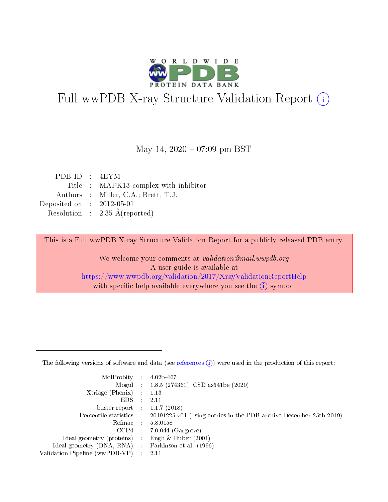

# Full wwPDB X-ray Structure Validation Report (i)

#### May 14,  $2020 - 07:09$  pm BST

| PDBID : 4EYM                             |
|------------------------------------------|
| Title : MAPK13 complex with inhibitor    |
| Authors : Miller, C.A.; Brett, T.J.      |
| Deposited on : $2012-05-01$              |
| Resolution : $2.35 \text{ Å}$ (reported) |
|                                          |

This is a Full wwPDB X-ray Structure Validation Report for a publicly released PDB entry.

We welcome your comments at validation@mail.wwpdb.org A user guide is available at <https://www.wwpdb.org/validation/2017/XrayValidationReportHelp> with specific help available everywhere you see the  $(i)$  symbol.

The following versions of software and data (see [references](https://www.wwpdb.org/validation/2017/XrayValidationReportHelp#references)  $(1)$ ) were used in the production of this report:

| MolProbity : 4.02b-467         |     |                                                                                            |
|--------------------------------|-----|--------------------------------------------------------------------------------------------|
|                                |     | Mogul : $1.8.5$ (274361), CSD as 541be (2020)                                              |
| $X$ triage (Phenix) :          |     | 1.13                                                                                       |
| EDS.                           |     | 2.11                                                                                       |
| buster-report : $1.1.7$ (2018) |     |                                                                                            |
|                                |     | Percentile statistics : 20191225.v01 (using entries in the PDB archive December 25th 2019) |
| Refmac                         |     | 5.8.0158                                                                                   |
| CCP4                           |     | $7.0.044$ (Gargrove)                                                                       |
| Ideal geometry (proteins) :    |     | Engh $\&$ Huber (2001)                                                                     |
| Ideal geometry (DNA, RNA) :    |     | Parkinson et al. (1996)                                                                    |
| Validation Pipeline (wwPDB-VP) | -11 | -2.11                                                                                      |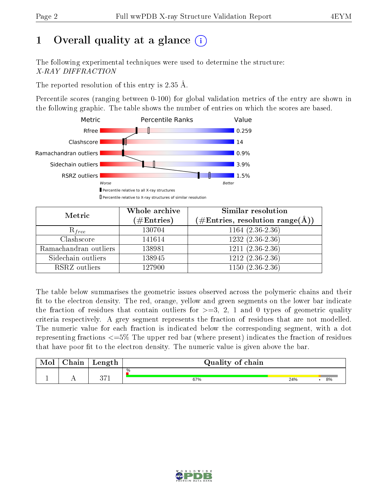# 1 [O](https://www.wwpdb.org/validation/2017/XrayValidationReportHelp#overall_quality)verall quality at a glance  $(i)$

The following experimental techniques were used to determine the structure: X-RAY DIFFRACTION

The reported resolution of this entry is 2.35 Å.

Percentile scores (ranging between 0-100) for global validation metrics of the entry are shown in the following graphic. The table shows the number of entries on which the scores are based.



| Metric                | Whole archive<br>$(\#\text{Entries})$ | Similar resolution<br>$(\#\text{Entries},\,\text{resolution}\,\,\text{range}(\textup{\AA}))$ |
|-----------------------|---------------------------------------|----------------------------------------------------------------------------------------------|
| $R_{free}$            | 130704                                | $1164(2.36-2.36)$                                                                            |
| Clashscore            | 141614                                | $1232(2.36-2.36)$                                                                            |
| Ramachandran outliers | 138981                                | $1211 (2.36 - 2.36)$                                                                         |
| Sidechain outliers    | 138945                                | $1212(2.36-2.36)$                                                                            |
| RSRZ outliers         | 127900                                | $1150(2.36-2.36)$                                                                            |

The table below summarises the geometric issues observed across the polymeric chains and their fit to the electron density. The red, orange, yellow and green segments on the lower bar indicate the fraction of residues that contain outliers for  $>=3, 2, 1$  and 0 types of geometric quality criteria respectively. A grey segment represents the fraction of residues that are not modelled. The numeric value for each fraction is indicated below the corresponding segment, with a dot representing fractions  $\epsilon=5\%$  The upper red bar (where present) indicates the fraction of residues that have poor fit to the electron density. The numeric value is given above the bar.

| Mol | $\gamma$ hain | Length     | Quality of chain |     |    |  |  |
|-----|---------------|------------|------------------|-----|----|--|--|
|     |               |            | %                |     |    |  |  |
|     |               | ヘーイ<br>ジーエ | 67%              | 24% | 8% |  |  |

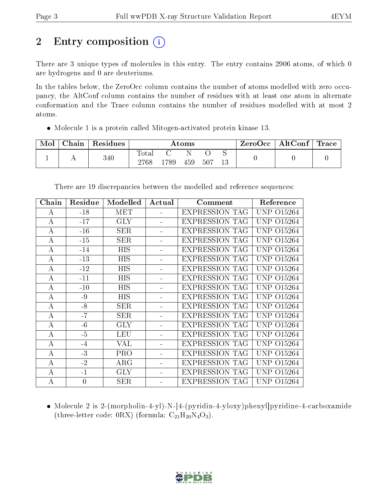# 2 Entry composition  $\left( \cdot \right)$

There are 3 unique types of molecules in this entry. The entry contains 2906 atoms, of which 0 are hydrogens and 0 are deuteriums.

In the tables below, the ZeroOcc column contains the number of atoms modelled with zero occupancy, the AltConf column contains the number of residues with at least one atom in alternate conformation and the Trace column contains the number of residues modelled with at most 2 atoms.

Molecule 1 is a protein called Mitogen-activated protein kinase 13.

| Mol | Chain | Residues | $\rm{Atoms}$        |      |     |     |  | $ZeroOcc \mid AltConf \mid$ | Trace |
|-----|-------|----------|---------------------|------|-----|-----|--|-----------------------------|-------|
|     |       | 340      | $\rm Total$<br>2768 | .789 | 459 | 507 |  |                             |       |

| Chain    | Residue        | Modelled   | Actual | Comment               | Reference                  |
|----------|----------------|------------|--------|-----------------------|----------------------------|
| А        | $-18$          | MET        |        | <b>EXPRESSION TAG</b> | UNP 015264                 |
| А        | $-17$          | <b>GLY</b> |        | <b>EXPRESSION TAG</b> | <b>UNP 015264</b>          |
| A        | $-16$          | <b>SER</b> |        | <b>EXPRESSION TAG</b> | UNP 015264                 |
| А        | $-15$          | <b>SER</b> |        | <b>EXPRESSION TAG</b> | UNP 015264                 |
| А        | $-14$          | <b>HIS</b> |        | <b>EXPRESSION TAG</b> | UNP.<br>O <sub>15264</sub> |
| А        | $-13$          | <b>HIS</b> |        | <b>EXPRESSION TAG</b> | <b>UNP 015264</b>          |
| $\bf{A}$ | $-12$          | <b>HIS</b> |        | <b>EXPRESSION TAG</b> | UNP 015264                 |
| А        | $-11$          | HIS        |        | <b>EXPRESSION TAG</b> | <b>UNP 015264</b>          |
| А        | $-10$          | HIS        |        | <b>EXPRESSION TAG</b> | <b>UNP 015264</b>          |
| A        | $-9$           | HIS        |        | <b>EXPRESSION TAG</b> | <b>UNP 015264</b>          |
| А        | $-8$           | <b>SER</b> |        | <b>EXPRESSION TAG</b> | UNP 015264                 |
| А        | $-7$           | <b>SER</b> |        | <b>EXPRESSION TAG</b> | UNP<br>O <sub>15264</sub>  |
| А        | $-6$           | <b>GLY</b> |        | EXPRESSION TAG        | <b>UNP 015264</b>          |
| A        | $-5$           | <b>LEU</b> |        | <b>EXPRESSION TAG</b> | UNP 015264                 |
| А        | $-4$           | VAL        |        | <b>EXPRESSION TAG</b> | UNP 015264                 |
| А        | $-3$           | PRO        |        | <b>EXPRESSION TAG</b> | <b>UNP 015264</b>          |
| А        | $-2$           | $\rm{ARG}$ |        | <b>EXPRESSION TAG</b> | UNP<br>O15264              |
| А        | $-1$           | <b>GLY</b> |        | EXPRESSION TAG        | UNP<br>O <sub>15264</sub>  |
| А        | $\overline{0}$ | <b>SER</b> |        | <b>EXPRESSION TAG</b> | UNP 015264                 |

There are 19 discrepancies between the modelled and reference sequences:

 Molecule 2 is 2-(morpholin-4-yl)-N-[4-(pyridin-4-yloxy)phenyl]pyridine-4-carboxamide (three-letter code:  $0RX$ ) (formula:  $C_{21}H_{20}N_4O_3$ ).

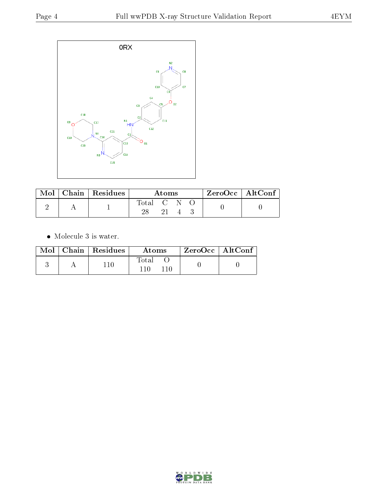

|  | $\text{Mol}$   Chain   Residues | Atoms     |    |  |  | $ZeroOcc \   \$ AltConf |
|--|---------------------------------|-----------|----|--|--|-------------------------|
|  |                                 | Total C N |    |  |  |                         |
|  |                                 |           | 21 |  |  |                         |

 $\bullet\,$  Molecule 3 is water.

|  | $Mol$   Chain   Residues | Atoms | ZeroOcc   AltConf |  |
|--|--------------------------|-------|-------------------|--|
|  |                          | Total |                   |  |

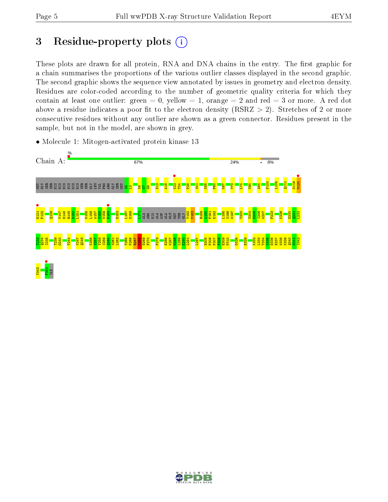# 3 Residue-property plots  $(i)$

These plots are drawn for all protein, RNA and DNA chains in the entry. The first graphic for a chain summarises the proportions of the various outlier classes displayed in the second graphic. The second graphic shows the sequence view annotated by issues in geometry and electron density. Residues are color-coded according to the number of geometric quality criteria for which they contain at least one outlier: green  $= 0$ , yellow  $= 1$ , orange  $= 2$  and red  $= 3$  or more. A red dot above a residue indicates a poor fit to the electron density (RSRZ  $> 2$ ). Stretches of 2 or more consecutive residues without any outlier are shown as a green connector. Residues present in the sample, but not in the model, are shown in grey.

• Molecule 1: Mitogen-activated protein kinase 13



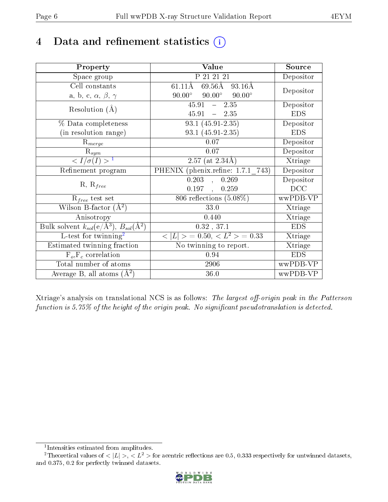## 4 Data and refinement statistics  $(i)$

| Property                                                             | Value                                             | Source     |
|----------------------------------------------------------------------|---------------------------------------------------|------------|
| Space group                                                          | P 21 21 21                                        | Depositor  |
| Cell constants                                                       | $69.56\text{\AA}$<br>61.11Å<br>93.16Å             | Depositor  |
| a, b, c, $\alpha$ , $\beta$ , $\gamma$                               | $90.00^\circ$<br>$90.00^{\circ}$<br>$90.00^\circ$ |            |
| Resolution $(A)$                                                     | $45.91 - 2.35$                                    | Depositor  |
|                                                                      | $45.91 - 2.35$                                    | <b>EDS</b> |
| % Data completeness                                                  | $\overline{93.1}$ (45.91-2.35)                    | Depositor  |
| (in resolution range)                                                | 93.1 (45.91-2.35)                                 | <b>EDS</b> |
| $R_{merge}$                                                          | $0.07\,$                                          | Depositor  |
| $\mathrm{R}_{sym}$                                                   | 0.07                                              | Depositor  |
| $\langle I/\sigma(I) \rangle^{-1}$                                   | $2.57$ (at $2.34\text{\AA}$ )                     | Xtriage    |
| Refinement program                                                   | PHENIX (phenix.refine: 1.7.1 743)                 | Depositor  |
| $R, R_{free}$                                                        | 0.203<br>0.269<br>$\mathbf{r}$                    | Depositor  |
|                                                                      | 0.197<br>0.259<br>$\ddot{\phantom{a}}$            | DCC        |
| $\mathcal{R}_{free}$ test set                                        | 806 reflections $(5.08\%)$                        | wwPDB-VP   |
| Wilson B-factor $(A^2)$                                              | 33.0                                              | Xtriage    |
| Anisotropy                                                           | 0.440                                             | Xtriage    |
| Bulk solvent $k_{sol}(e/\mathring{A}^3)$ , $B_{sol}(\mathring{A}^2)$ | 0.32, 37.1                                        | <b>EDS</b> |
| L-test for $\{\text{winning}^2$                                      | $< L >$ = 0.50, $< L2$ > = 0.33                   | Xtriage    |
| Estimated twinning fraction                                          | No twinning to report.                            | Xtriage    |
| $F_o, F_c$ correlation                                               | 0.94                                              | <b>EDS</b> |
| Total number of atoms                                                | 2906                                              | wwPDB-VP   |
| Average B, all atoms $(A^2)$                                         | 36.0                                              | wwPDB-VP   |

Xtriage's analysis on translational NCS is as follows: The largest off-origin peak in the Patterson function is  $5.75\%$  of the height of the origin peak. No significant pseudotranslation is detected.

<sup>&</sup>lt;sup>2</sup>Theoretical values of  $\langle |L| \rangle$ ,  $\langle L^2 \rangle$  for acentric reflections are 0.5, 0.333 respectively for untwinned datasets, and 0.375, 0.2 for perfectly twinned datasets.



<span id="page-5-1"></span><span id="page-5-0"></span><sup>1</sup> Intensities estimated from amplitudes.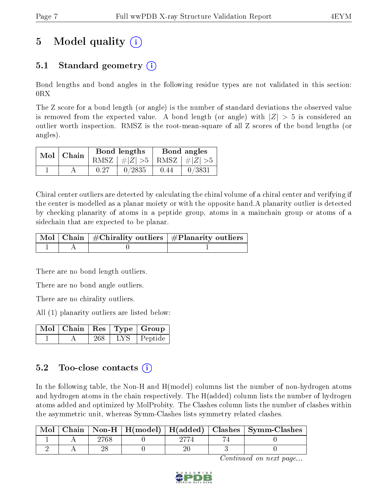# 5 Model quality  $(i)$

## 5.1 Standard geometry (i)

Bond lengths and bond angles in the following residue types are not validated in this section:  $0RX$ 

The Z score for a bond length (or angle) is the number of standard deviations the observed value is removed from the expected value. A bond length (or angle) with  $|Z| > 5$  is considered an outlier worth inspection. RMSZ is the root-mean-square of all Z scores of the bond lengths (or angles).

| $Mol$   Chain |      | Bond lengths                    | Bond angles |        |  |
|---------------|------|---------------------------------|-------------|--------|--|
|               |      | RMSZ $ #Z  > 5$ RMSZ $ #Z  > 5$ |             |        |  |
|               | 0.27 | 0/2835                          | 0.44        | 0/3831 |  |

Chiral center outliers are detected by calculating the chiral volume of a chiral center and verifying if the center is modelled as a planar moiety or with the opposite hand.A planarity outlier is detected by checking planarity of atoms in a peptide group, atoms in a mainchain group or atoms of a sidechain that are expected to be planar.

|  | $\mid$ Mol $\mid$ Chain $\mid$ #Chirality outliers $\mid$ #Planarity outliers $\mid$ |
|--|--------------------------------------------------------------------------------------|
|  |                                                                                      |

There are no bond length outliers.

There are no bond angle outliers.

There are no chirality outliers.

All (1) planarity outliers are listed below:

|  |     |       | Mol   Chain   Res   Type   Group |
|--|-----|-------|----------------------------------|
|  | 268 | LYS – | Peptide                          |

### 5.2 Too-close contacts  $\overline{a}$

In the following table, the Non-H and H(model) columns list the number of non-hydrogen atoms and hydrogen atoms in the chain respectively. The H(added) column lists the number of hydrogen atoms added and optimized by MolProbity. The Clashes column lists the number of clashes within the asymmetric unit, whereas Symm-Clashes lists symmetry related clashes.

|  |  |  | Mol   Chain   Non-H   H(model)   H(added)   Clashes   Symm-Clashes |
|--|--|--|--------------------------------------------------------------------|
|  |  |  |                                                                    |
|  |  |  |                                                                    |

Continued on next page...

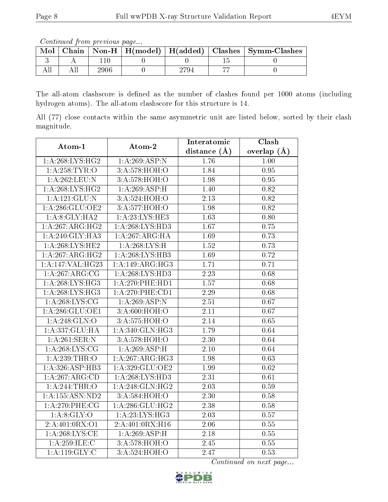Continued from previous page...

| Mol |  |  | Chain   Non-H   H(model)   H(added)   Clashes   Symm-Clashes |
|-----|--|--|--------------------------------------------------------------|
|     |  |  |                                                              |
|     |  |  |                                                              |

The all-atom clashscore is defined as the number of clashes found per 1000 atoms (including hydrogen atoms). The all-atom clashscore for this structure is 14.

All (77) close contacts within the same asymmetric unit are listed below, sorted by their clash magnitude.

| Atom-1             | Atom-2              | Interatomic       | Clash             |  |
|--------------------|---------------------|-------------------|-------------------|--|
|                    |                     | distance $(A)$    | overlap $(A)$     |  |
| 1: A:268: LYS: HG2 | 1:A:269:ASP:N       | 1.76              | 1.00              |  |
| 1: A:258:TYR:O     | 3:A:578:HOH:O       | 1.84              | $\overline{0.95}$ |  |
| 1:A:262:LEU:N      | 3:A:578:HOH:O       | 1.98              | 0.95              |  |
| 1: A:268: LYS: HG2 | 1:A:269:ASP:H       | 1.40              | 0.82              |  |
| 1: A:121: GLU:N    | 3:A:524:HOH:O       | 2.13              | 0.82              |  |
| 1: A:286: GLU:OE2  | 3:A:577:HOH:O       | 1.98              | 0.82              |  |
| 1: A:8: GLY: HA2   | 1: A:23: LYS: HE3   | $\overline{1.63}$ | 0.80              |  |
| 1:A:267:ARG:HG2    | 1: A:268:LYS:HD3    | 1.67              | 0.75              |  |
| 1: A:240: GLY:HA3  | 1:A:267:ARG:HA      | 1.69              | 0.73              |  |
| 1: A:268:LYS:HE2   | 1: A:268:LYS:H      | $\overline{1.52}$ | 0.73              |  |
| 1:A:267:ARG:HG2    | 1: A:268:LYS:HB3    | 1.69              | 0.72              |  |
| 1:A:147:VAL:H G23  | 1:A:149:ARG:HG3     | 1.71              | 0.71              |  |
| 1:A:267:ARG:CG     | 1: A:268:LYS:HD3    | $\overline{2.23}$ | 0.68              |  |
| 1:A:268:LYS:HG3    | 1: A:270:PHE:HD1    | 1.57              | 0.68              |  |
| 1: A:268: LYS: HG3 | $1: A:270:$ PHE:CD1 | $\overline{2.29}$ | 0.68              |  |
| 1: A:268: LYS: CG  | 1:A:269:ASP:N       | 2.51              | 0.67              |  |
| 1: A:286: GLU:OE1  | 3:A:600:HOH:O       | $\overline{2.11}$ | 0.67              |  |
| 1: A:248: GLN:O    | 3:A:575:HOH:O       | 2.14              | 0.65              |  |
| 1:A:337:GLU:HA     | 1: A:340: GLN: HG3  | 1.79              | 0.64              |  |
| 1: A:261:SER:N     | 3: A:578:HOH:O      | $\overline{2.30}$ | 0.64              |  |
| 1: A:268: LYS: CG  | 1: A:269:ASP:H      | $\overline{2.10}$ | 0.64              |  |
| 1: A:239:THR:O     | 1:A:267:ARG:HG3     | 1.98              | $\overline{0.63}$ |  |
| 1:A:326:ASP:HB3    | 1:A:329:GLU:OE2     | 1.99              | $\overline{0.62}$ |  |
| 1:A:267:ARG:CD     | 1: A:268:LYS:HD3    | 2.31              | 0.61              |  |
| 1:A:244:THR:O      | 1:A:248:GLN:HG2     | 2.03              | 0.59              |  |
| 1:A:155:ASN:ND2    | 3:A:584:HOH:O       | 2.30              | 0.58              |  |
| $1: A:270:$ PHE:CG | 1: A:286: GLU:HG2   | $\overline{2.38}$ | 0.58              |  |
| 1: A:8: GLY:O      | 1:A:23:LYS:HG3      | 2.03              | 0.57              |  |
| 2: A:401:0RX:O1    | 2:A:401:0RX:H16     | 2.06              | 0.55              |  |
| 1: A:268:LYS:CE    | 1:A:269:ASP:H       | 2.18              | $0.55\,$          |  |
| 1: A:259: ILE:C    | 3:A:578:HOH:O       | 2.45              | $0.55\,$          |  |
| 1: A: 119: GLY: C  | 3:A:524:HOH:O       | 2.47              | 0.53              |  |

Continued on next page...

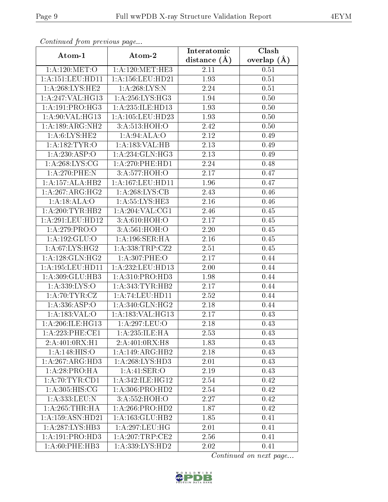| Commaca jioni previvus page |                     | Interatomic      | Clash         |  |
|-----------------------------|---------------------|------------------|---------------|--|
| Atom-1                      | Atom-2              | distance $(\AA)$ | overlap $(A)$ |  |
| 1: A:120:MET:O              | 1: A:120:MET:HE3    | 2.11             | 0.51          |  |
| 1:A:151:LEU:HD11            | 1:A:156:LEU:HD21    | 1.93             | 0.51          |  |
| 1:A:268:LYS:HE2             | 1: A:268:LYS:N      | 2.24             | 0.51          |  |
| 1:A:247:VAL:HG13            | 1: A:256: LYS:HG3   | 1.94             | 0.50          |  |
| 1: A:191: PRO:HG3           | 1: A:235: ILE: HD13 | 1.93             | 0.50          |  |
| 1:A:90:VAL:HG13             | 1:A:105:LEU:HD23    | 1.93             | 0.50          |  |
| 1:A:189:ARG:NH2             | 3:A:513:HOH:O       | 2.42             | 0.50          |  |
| 1: A:6: LYS: HE2            | 1:A:94:ALA:O        | 2.12             | 0.49          |  |
| $1:A:\overline{182:TYR:O}$  | 1:A:183:VAL:HB      | 2.13             | 0.49          |  |
| 1: A:230: ASP:O             | 1: A:234: GLN: HG3  | 2.13             | 0.49          |  |
| 1: A:268: LYS: CG           | 1: A:270:PHE:HD1    | 2.24             | 0.48          |  |
| $1: A:270:$ PHE:N           | 3:A:577:HOH:O       | 2.17             | 0.47          |  |
| 1:A:157:ALA:HB2             | 1:A:167:LEU:HD11    | 1.96             | 0.47          |  |
| 1:A:267:ARG:HG2             | 1: A:268: LYS: CB   | 2.43             | 0.46          |  |
| 1:A:18:ALA:O                | 1:A:55:LYS:HE3      | 2.16             | 0.46          |  |
| 1:A:200:TYR:HB2             | 1: A:204:VAL:CG1    | 2.46             | 0.45          |  |
| 1:A:291:LEU:HD12            | 3:A:610:HOH:O       | 2.17             | 0.45          |  |
| 1:A:279:PRO:O               | 3:A:561:HOH:O       | 2.20             | 0.45          |  |
| 1:A:192:GLU:O               | 1:A:196:SER:HA      | 2.16             | 0.45          |  |
| 1: A:67: LYS: HG2           | 1: A: 338: TRP: CZ2 | 2.51             | 0.45          |  |
| 1:A:128:GLN:HG2             | 1:A:307:PHE:O       | 2.17             | 0.44          |  |
| 1: A: 195: LEU: HD11        | 1:A:232:LEU:HD13    | 2.00             | 0.44          |  |
| 1:A:309:GLU:HB3             | 1: A: 310: PRO: HD3 | 1.98             | 0.44          |  |
| 1:A:339:LYS:O               | 1: A:343:TYR:HB2    | 2.17             | 0.44          |  |
| 1: A:70:TYR:CZ              | 1: A:74: LEU: HD11  | 2.52             | 0.44          |  |
| 1:A:336:ASP:O               | 1: A:340: GLN: HG2  | 2.18             | 0.44          |  |
| 1: A: 183: VAL: O           | 1:A:183:VAL:HG13    | 2.17             | 0.43          |  |
| 1: A:206: ILE: HG13         | 1:A:297:LEU:O       | 2.18             | 0.43          |  |
| 1:A:223:PHE:CE1             | 1: A: 235: ILE: HA  | 2.53             | 0.43          |  |
| 2: A:401:0RX:H1             | 2: A:401:0RX:H8     | 1.83             | 0.43          |  |
| 1: A:148: HIS:O             | 1:A:149:ARG:HB2     | 2.18             | 0.43          |  |
| 1:A:267:ARG:HD3             | 1: A:268: LYS:HD3   | 2.01             | 0.43          |  |
| 1: A:28:PRO:HA              | 1:A:41:SER:O        | 2.19             | 0.43          |  |
| 1:A:70:TYR:CD1              | 1:A:342:ILE:HG12    | 2.54             | 0.42          |  |
| 1: A:305: HIS: CG           | 1: A:306: PRO:HD2   | 2.54             | 0.42          |  |
| 1:A:333:LEU:N               | 3:A:552:HOH:O       | 2.27             | 0.42          |  |
| 1: A:265:THR:HA             | 1:A:266:PRO:HD2     | 1.87             | 0.42          |  |
| 1: A: 159: ASN: HD21        | 1:A:163:GLU:HB2     | 1.85             | 0.41          |  |
| 1:A:287:LYS:HB3             | 1: A:297:LEU:HG     | 2.01             | 0.41          |  |
| 1:A:191:PRO:HD3             | 1:A:207:TRP:CE2     | 2.56             | 0.41          |  |
| 1: A:60: PHE:HB3            | 1:A:339:LYS:HD2     | 2.02             | 0.41          |  |

Continued from previous page.

Continued on next page...

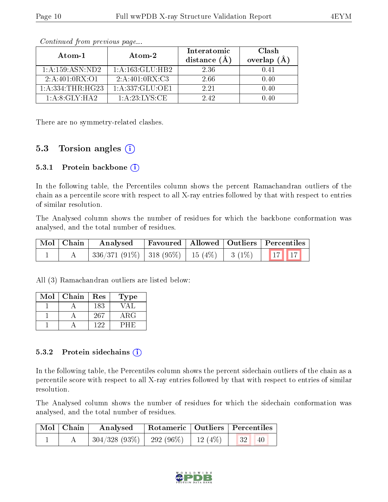| Atom-1               | Atom-2              | Interatomic<br>distance $(A)$ | Clash<br>overlap $(A)$ |  |
|----------------------|---------------------|-------------------------------|------------------------|--|
| 1: A: 159: ASN: ND2  | 1:A:163:GLU:HB2     | 2.36                          | 0.41                   |  |
| 2: A:401:0RX:O1      | 2: A:401:0RX:C3     | 2.66                          | 0.40                   |  |
| 1: A: 334: THR: HG23 | 1: A: 337: GLU: OE1 | 2.21                          | 0.40                   |  |
| 1:A:8:GLY:H A2       | 1:A:23:LYS:CE       | 2.42                          | በ 4በ                   |  |

Continued from previous page...

There are no symmetry-related clashes.

### 5.3 Torsion angles (i)

#### 5.3.1 Protein backbone  $(i)$

In the following table, the Percentiles column shows the percent Ramachandran outliers of the chain as a percentile score with respect to all X-ray entries followed by that with respect to entries of similar resolution.

The Analysed column shows the number of residues for which the backbone conformation was analysed, and the total number of residues.

| Mol   Chain |                                                | Analysed   Favoured   Allowed   Outliers   Percentiles |  |  |  |
|-------------|------------------------------------------------|--------------------------------------------------------|--|--|--|
|             | $336/371(91\%)$ 318 (95%) 15 (4%) 3 (1%) 17 17 |                                                        |  |  |  |

All (3) Ramachandran outliers are listed below:

| Mol | Chain | Res | Type       |
|-----|-------|-----|------------|
|     |       | 183 |            |
|     |       | 267 | $\rm{ARG}$ |
|     |       | 199 |            |

#### 5.3.2 Protein sidechains  $(i)$

In the following table, the Percentiles column shows the percent sidechain outliers of the chain as a percentile score with respect to all X-ray entries followed by that with respect to entries of similar resolution.

The Analysed column shows the number of residues for which the sidechain conformation was analysed, and the total number of residues.

| $\mid$ Mol $\mid$ Chain $\mid$ | Analysed                                                      | Rotameric   Outliers   Percentiles |                                 |  |
|--------------------------------|---------------------------------------------------------------|------------------------------------|---------------------------------|--|
|                                | $\mid$ 304/328 (93%) $\mid$ 292 (96%) $\mid$ 12 (4%) $\mid$ 1 |                                    | $\vert 32 \vert$<br>$\sqrt{40}$ |  |

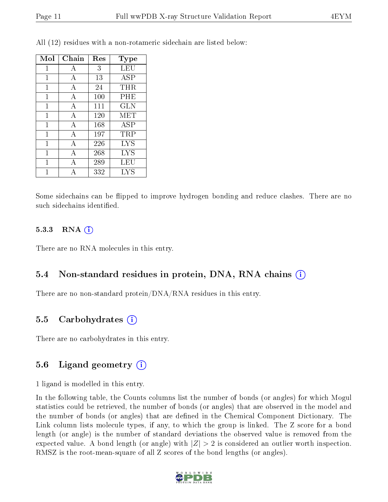| Mol          | Chain | Res | Type       |
|--------------|-------|-----|------------|
| 1            | А     | 3   | LEU        |
| 1            | А     | 13  | ASP        |
| 1            | А     | 24  | THR        |
| 1            | А     | 100 | PHE        |
| $\mathbf{1}$ | A     | 111 | <b>GLN</b> |
| $\mathbf{1}$ | А     | 120 | MET        |
| 1            | А     | 168 | ASP        |
| 1            | А     | 197 | TRP        |
| $\mathbf 1$  | Α     | 226 | <b>LYS</b> |
| 1            | А     | 268 | <b>LYS</b> |
| 1            | А     | 289 | LEU        |
|              |       | 332 | <b>LYS</b> |

All (12) residues with a non-rotameric sidechain are listed below:

Some sidechains can be flipped to improve hydrogen bonding and reduce clashes. There are no such sidechains identified.

#### 5.3.3 RNA $(i)$

There are no RNA molecules in this entry.

#### 5.4 Non-standard residues in protein, DNA, RNA chains (i)

There are no non-standard protein/DNA/RNA residues in this entry.

#### 5.5 Carbohydrates  $(i)$

There are no carbohydrates in this entry.

#### 5.6 Ligand geometry  $(i)$

1 ligand is modelled in this entry.

In the following table, the Counts columns list the number of bonds (or angles) for which Mogul statistics could be retrieved, the number of bonds (or angles) that are observed in the model and the number of bonds (or angles) that are defined in the Chemical Component Dictionary. The Link column lists molecule types, if any, to which the group is linked. The Z score for a bond length (or angle) is the number of standard deviations the observed value is removed from the expected value. A bond length (or angle) with  $|Z| > 2$  is considered an outlier worth inspection. RMSZ is the root-mean-square of all Z scores of the bond lengths (or angles).

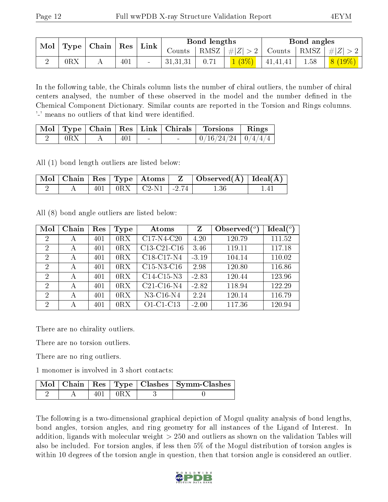|     | $\mid$ Mol $\mid$ Type $\mid$ Chain $\mid$ Res $\mid$ Link $\mid$ |     |          | Bond lengths |                     | Bond angles |                                                                                |
|-----|-------------------------------------------------------------------|-----|----------|--------------|---------------------|-------------|--------------------------------------------------------------------------------|
|     |                                                                   |     |          |              |                     |             | Counts   RMSZ $\mid \#  Z  > 2$   Counts   RMSZ $\mid \#  Z  > 2$              |
| 0RX |                                                                   | 401 | 31,31,31 | 0.71         | $1(3\%)$   41,41,41 |             | $\begin{array}{ c c c c c }\ \hline \text{1.58} & \text{8 (19\%)} \end{array}$ |

In the following table, the Chirals column lists the number of chiral outliers, the number of chiral centers analysed, the number of these observed in the model and the number defined in the Chemical Component Dictionary. Similar counts are reported in the Torsion and Rings columns. '-' means no outliers of that kind were identified.

|                |                | $\text{Mol}$   Type   Chain   Res   Link   Chirals | Torsions '               | $\vert$ Rings |
|----------------|----------------|----------------------------------------------------|--------------------------|---------------|
| $0\mathrm{RX}$ | $40^{\degree}$ | $\sim$                                             | $0/16/24/24$   $0/4/4/4$ |               |

All (1) bond length outliers are listed below:

|  |  |                                      | $\perp$ Mol   Chain   Res   Type   Atoms   Z   Observed $(\overline{A})$   Ideal $(\overline{A})$ |     |
|--|--|--------------------------------------|---------------------------------------------------------------------------------------------------|-----|
|  |  | $401$   $0\text{RX}$   C2-N1   -2.74 | 1.36                                                                                              | 141 |

All (8) bond angle outliers are listed below:

| Mol            | Chain | Res | Type | Atoms        | $\mathbf{Z}$ | Observed $(°)$ | $Ideal(^o)$ |
|----------------|-------|-----|------|--------------|--------------|----------------|-------------|
| $\overline{2}$ | А     | 401 | 0RX  | $C17-N4-C20$ | 4.20         | 120.79         | 111.52      |
| 2              | А     | 401 | 0RX  | C13-C21-C16  | 3.46         | 119.11         | 117.18      |
| $\overline{2}$ | А     | 401 | 0RX  | C18-C17-N4   | $-3.19$      | 104.14         | 110.02      |
| $\overline{2}$ | А     | 401 | 0RX  | $C15-N3-C16$ | 2.98         | 120.80         | 116.86      |
| $\overline{2}$ | А     | 401 | 0RX  | C14-C15-N3   | $-2.83$      | 120.44         | 123.96      |
| $\overline{2}$ | А     | 401 | 0RX  | $C21-C16-N4$ | $-2.82$      | 118.94         | 122.29      |
| $\overline{2}$ | А     | 401 | 0RX  | $N3-C16-N4$  | 2.24         | 120.14         | 116.79      |
| $\overline{2}$ | А     | 401 | 0RX  | $O1-C1-C13$  | $-2.00$      | 117.36         | 120.94      |

There are no chirality outliers.

There are no torsion outliers.

There are no ring outliers.

1 monomer is involved in 3 short contacts:

|  |                   | Mol   Chain   Res   Type   Clashes   Symm-Clashes |
|--|-------------------|---------------------------------------------------|
|  | $\pm 401 \pm 0RX$ |                                                   |

The following is a two-dimensional graphical depiction of Mogul quality analysis of bond lengths, bond angles, torsion angles, and ring geometry for all instances of the Ligand of Interest. In addition, ligands with molecular weight > 250 and outliers as shown on the validation Tables will also be included. For torsion angles, if less then 5% of the Mogul distribution of torsion angles is within 10 degrees of the torsion angle in question, then that torsion angle is considered an outlier.

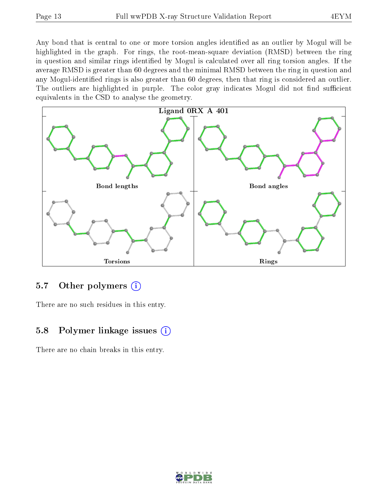Any bond that is central to one or more torsion angles identified as an outlier by Mogul will be highlighted in the graph. For rings, the root-mean-square deviation (RMSD) between the ring in question and similar rings identified by Mogul is calculated over all ring torsion angles. If the average RMSD is greater than 60 degrees and the minimal RMSD between the ring in question and any Mogul-identified rings is also greater than 60 degrees, then that ring is considered an outlier. The outliers are highlighted in purple. The color gray indicates Mogul did not find sufficient equivalents in the CSD to analyse the geometry.



#### 5.7 [O](https://www.wwpdb.org/validation/2017/XrayValidationReportHelp#nonstandard_residues_and_ligands)ther polymers  $(i)$

There are no such residues in this entry.

### 5.8 Polymer linkage issues  $(i)$

There are no chain breaks in this entry.

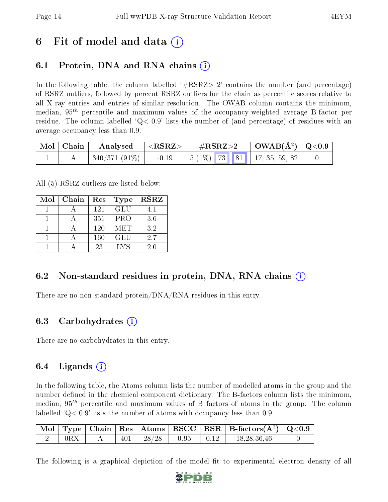## 6 Fit of model and data  $\left( \cdot \right)$

## 6.1 Protein, DNA and RNA chains (i)

In the following table, the column labelled  $#RSRZ>2'$  contains the number (and percentage) of RSRZ outliers, followed by percent RSRZ outliers for the chain as percentile scores relative to all X-ray entries and entries of similar resolution. The OWAB column contains the minimum, median,  $95<sup>th</sup>$  percentile and maximum values of the occupancy-weighted average B-factor per residue. The column labelled  $Q < 0.9$  lists the number of (and percentage) of residues with an average occupancy less than 0.9.

|  |               | $\mid$ Mol $\mid$ Chain $\mid$ Analysed $\mid$ <rsrz> <math>\mid</math></rsrz> |  |  |                                             |  |
|--|---------------|--------------------------------------------------------------------------------|--|--|---------------------------------------------|--|
|  | 340/371 (91%) |                                                                                |  |  | $-0.19$   5 (1%)   73   81   17, 35, 59, 82 |  |

All (5) RSRZ outliers are listed below:

| Mol | Chain | Res | <b>Type</b> | <b>RSRZ</b> |
|-----|-------|-----|-------------|-------------|
|     |       | 121 | <b>GLU</b>  | 4.1         |
|     |       | 351 | <b>PRO</b>  | 3.6         |
|     |       | 120 | <b>MET</b>  | 3.2         |
|     |       | 160 | <b>GLU</b>  | 2.7         |
|     |       | 23  | LYS         | 2.0         |

### 6.2 Non-standard residues in protein, DNA, RNA chains (i)

There are no non-standard protein/DNA/RNA residues in this entry.

#### 6.3 Carbohydrates (i)

There are no carbohydrates in this entry.

### 6.4 Ligands  $(i)$

In the following table, the Atoms column lists the number of modelled atoms in the group and the number defined in the chemical component dictionary. The B-factors column lists the minimum, median,  $95<sup>th</sup>$  percentile and maximum values of B factors of atoms in the group. The column labelled  $Q< 0.9$ ' lists the number of atoms with occupancy less than 0.9.

|     |  |                                   |  | $\mid$ Mol $\mid$ Type $\mid$ Chain $\mid$ Res $\mid$ Atoms $\mid$ RSCC $\mid$ RSR $\mid$ B-factors(Å <sup>2</sup> ) $\mid$ Q<0.9 $\mid$ |  |
|-----|--|-----------------------------------|--|------------------------------------------------------------------------------------------------------------------------------------------|--|
| 0RX |  | $401$   $28/28$   $0.95$   $0.12$ |  | 18.28.36.46                                                                                                                              |  |

The following is a graphical depiction of the model fit to experimental electron density of all